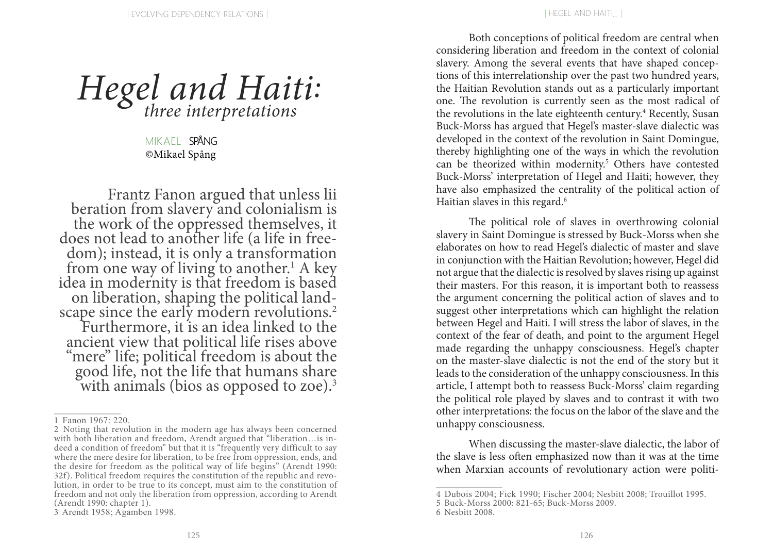# *Hegel and Haiti:* three interpretations

 ©Mikael SpångMIKAFI SPÅNG

Frantz Fanon argued that unless lii beration from slavery and colonialism is the work of the oppressed themselves, it does not lead to another life (a life in freedom); instead, it is only a transformation from one way of living to another.<sup>1</sup> A key idea in modernity is that freedom is based<br>on liberation, shaping the political landscape since the early modern revolutions.<sup>2</sup> Furthermore, it is an idea linked to the ancient view that political life rises above "mere" life; political freedom is about the good life, not the life that humans share with animals (bios as opposed to zoe).<sup>3</sup>

Both conceptions of political freedom are central when considering liberation and freedom in the context of colonial slavery. Among the several events that have shaped conceptions of this interrelationship over the past two hundred years, the Haitian Revolution stands out as a particularly important one. The revolution is currently seen as the most radical of the revolutions in the late eighteenth century.<sup>4</sup> Recently, Susan Buck-Morss has argued that Hegel's master-slave dialectic was developed in the context of the revolution in Saint Domingue, thereby highlighting one of the ways in which the revolution can be theorized within modernity.<sup>5</sup> Others have contested Buck-Morss' interpretation of Hegel and Haiti; however, they have also emphasized the centrality of the political action of Haitian slaves in this regard.<sup>6</sup>

The political role of slaves in overthrowing colonial slavery in Saint Domingue is stressed by Buck-Morss when she elaborates on how to read Hegel's dialectic of master and slave in conjunction with the Haitian Revolution; however, Hegel did not argue that the dialectic is resolved by slaves rising up against their masters. For this reason, it is important both to reassess the argument concerning the political action of slaves and to suggest other interpretations which can highlight the relation between Hegel and Haiti. I will stress the labor of slaves, in the context of the fear of death, and point to the argument Hegel made regarding the unhappy consciousness. Hegel's chapter on the master-slave dialectic is not the end of the story but it leads to the consideration of the unhappy consciousness. In this article, I attempt both to reassess Buck-Morss' claim regarding the political role played by slaves and to contrast it with two other interpretations: the focus on the labor of the slave and the unhappy consciousness.

When discussing the master-slave dialectic, the labor of the slave is less often emphasized now than it was at the time when Marxian accounts of revolutionary action were politi-

<sup>1</sup> Fanon 1967: 220.

<sup>2</sup> Noting that revolution in the modern age has always been concerned with both liberation and freedom, Arendt argued that "liberation... is indeed a condition of freedom" but that it is "frequently very difficult to say where the mere desire for liberation, to be free from oppression, ends, and the desire for freedom as the political way of life begins" (Arendt 1990: 32f). Political freedom requires the constitution of the republic and revolution, in order to be true to its concept, must aim to the constitution of freedom and not only the liberation from oppression, according to Arendt (Arendt 1990: chapter 1).

<sup>3</sup> Arendt 1958; Agamben 1998.

<sup>4</sup> Dubois 2004; Fick 1990; Fischer 2004; Nesbitt 2008; Trouillot 1995.

<sup>5</sup> Buck-Morss 2000: 821-65; Buck-Morss 2009.

<sup>6</sup> Nesbitt 2008.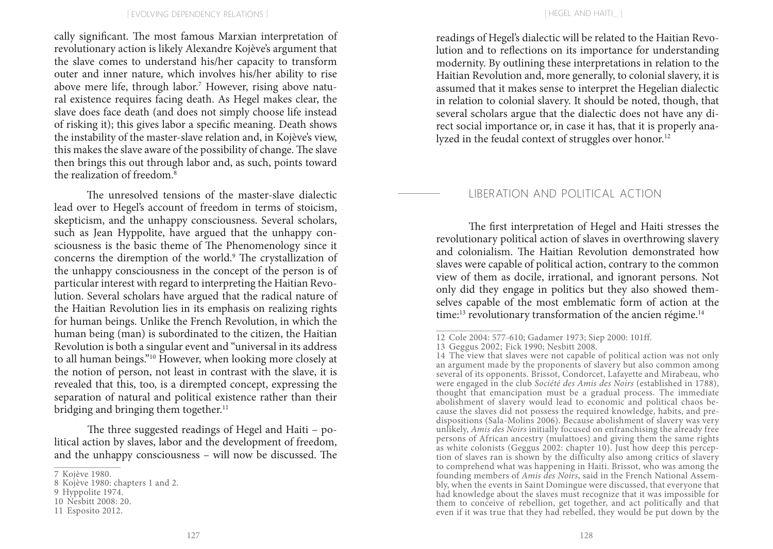cally significant. The most famous Marxian interpretation of revolutionary action is likely Alexandre Kojève's argument that the slave comes to understand his/her capacity to transform outer and inner nature, which involves his/her ability to rise above mere life, through labor.<sup>7</sup> However, rising above natural existence requires facing death. As Hegel makes clear, the slave does face death (and does not simply choose life instead of risking it); this gives labor a specific meaning. Death shows the instability of the master-slave relation and, in Kojève's view, this makes the slave aware of the possibility of change. The slave then brings this out through labor and, as such, points toward the realization of freedom.8

The unresolved tensions of the master-slave dialectic lead over to Hegel's account of freedom in terms of stoicism, skepticism, and the unhappy consciousness. Several scholars, such as Jean Hyppolite, have argued that the unhappy consciousness is the basic theme of The Phenomenology since it concerns the diremption of the world.<sup>9</sup> The crystallization of the unhappy consciousness in the concept of the person is of particular interest with regard to interpreting the Haitian Revolution. Several scholars have argued that the radical nature of the Haitian Revolution lies in its emphasis on realizing rights for human beings. Unlike the French Revolution, in which the human being (man) is subordinated to the citizen, the Haitian Revolution is both a singular event and "universal in its address to all human beings."10 However, when looking more closely at the notion of person, not least in contrast with the slave, it is revealed that this, too, is a dirempted concept, expressing the separation of natural and political existence rather than their bridging and bringing them together. $<sup>11</sup>$ </sup>

The three suggested readings of Hegel and Haiti – political action by slaves, labor and the development of freedom, and the unhappy consciousness – will now be discussed. The readings of Hegel's dialectic will be related to the Haitian Revolution and to reflections on its importance for understanding modernity. By outlining these interpretations in relation to the Haitian Revolution and, more generally, to colonial slavery, it is assumed that it makes sense to interpret the Hegelian dialectic in relation to colonial slavery. It should be noted, though, that several scholars argue that the dialectic does not have any direct social importance or, in case it has, that it is properly analyzed in the feudal context of struggles over honor.<sup>12</sup>

### LIBERATION AND POLITICAL ACTION

The first interpretation of Hegel and Haiti stresses the revolutionary political action of slaves in overthrowing slavery and colonialism. The Haitian Revolution demonstrated how slaves were capable of political action, contrary to the common view of them as docile, irrational, and ignorant persons. Not only did they engage in politics but they also showed themselves capable of the most emblematic form of action at the time:<sup>13</sup> revolutionary transformation of the ancien régime.<sup>14</sup>

<sup>7</sup> Kojève 1980.

<sup>8</sup> Kojève 1980: chapters 1 and 2.

<sup>9</sup> Hyppolite 1974.

<sup>10</sup> Nesbitt 2008: 20.

<sup>11</sup> Esposito 2012.

<sup>12</sup> Cole 2004: 577-610; Gadamer 1973; Siep 2000: 101ff.

<sup>13</sup> Geggus 2002; Fick 1990; Nesbitt 2008.

<sup>14</sup> The view that slaves were not capable of political action was not only an argument made by the proponents of slavery but also common among several of its opponents. Brissot, Condorcet, Lafayette and Mirabeau, who were engaged in the club *Société des Amis des Noirs* (established in 1788), thought that emancipation must be a gradual process. The immediate abolishment of slavery would lead to economic and political chaos because the slaves did not possess the required knowledge, habits, and predispositions (Sala-Molins 2006). Because abolishment of slavery was very unlikely, *Amis des Noirs* initially focused on enfranchising the already free persons of African ancestry (mulattoes) and giving them the same rights as white colonists (Geggus 2002: chapter 10). Just how deep this perception of slaves ran is shown by the difficulty also among critics of slavery to comprehend what was happening in Haiti. Brissot, who was among the founding members of *Amis des Noirs*, said in the French National Assembly, when the events in Saint Domingue were discussed, that everyone that had knowledge about the slaves must recognize that it was impossible for them to conceive of rebellion, get together, and act politically and that even if it was true that they had rebelled, they would be put down by the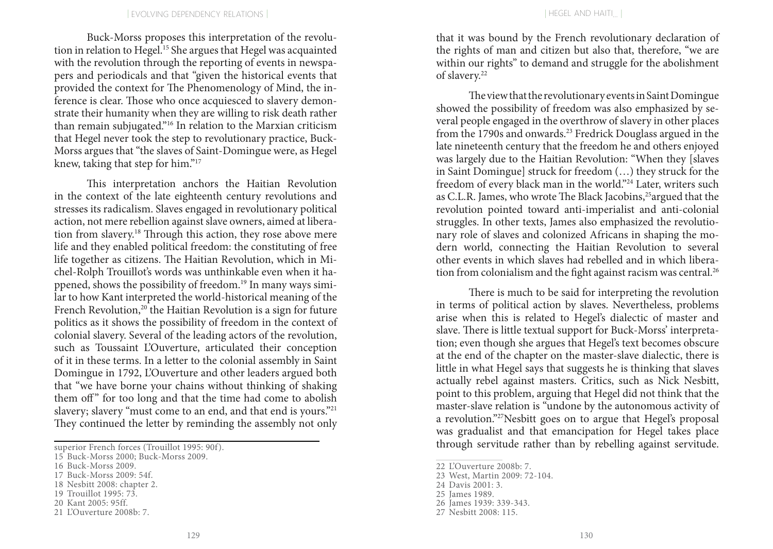Buck-Morss proposes this interpretation of the revolution in relation to Hegel.15 She argues that Hegel was acquainted with the revolution through the reporting of events in newspapers and periodicals and that "given the historical events that provided the context for The Phenomenology of Mind, the inference is clear. Those who once acquiesced to slavery demonstrate their humanity when they are willing to risk death rather than remain subjugated."16 In relation to the Marxian criticism that Hegel never took the step to revolutionary practice, Buck-Morss argues that "the slaves of Saint-Domingue were, as Hegel knew, taking that step for him."17

This interpretation anchors the Haitian Revolution in the context of the late eighteenth century revolutions and stresses its radicalism. Slaves engaged in revolutionary political action, not mere rebellion against slave owners, aimed at liberation from slavery.18 Through this action, they rose above mere life and they enabled political freedom: the constituting of free life together as citizens. The Haitian Revolution, which in Michel-Rolph Trouillot's words was unthinkable even when it happened, shows the possibility of freedom.19 In many ways similar to how Kant interpreted the world-historical meaning of the French Revolution,<sup>20</sup> the Haitian Revolution is a sign for future politics as it shows the possibility of freedom in the context of colonial slavery. Several of the leading actors of the revolution, such as Toussaint L'Ouverture, articulated their conception of it in these terms. In a letter to the colonial assembly in Saint Domingue in 1792, L'Ouverture and other leaders argued both that "we have borne your chains without thinking of shaking them off" for too long and that the time had come to abolish slavery; slavery "must come to an end, and that end is yours."21 They continued the letter by reminding the assembly not only

that it was bound by the French revolutionary declaration of the rights of man and citizen but also that, therefore, "we are within our rights" to demand and struggle for the abolishment of slavery.22

The view that the revolutionary events in Saint Domingue showed the possibility of freedom was also emphasized by several people engaged in the overthrow of slavery in other places from the 1790s and onwards.23 Fredrick Douglass argued in the late nineteenth century that the freedom he and others enjoyed was largely due to the Haitian Revolution: "When they [slaves in Saint Domingue] struck for freedom (…) they struck for the freedom of every black man in the world."24 Later, writers such as C.L.R. James, who wrote The Black Jacobins,<sup>25</sup> argued that the revolution pointed toward anti-imperialist and anti-colonial struggles. In other texts, James also emphasized the revolutionary role of slaves and colonized Africans in shaping the modern world, connecting the Haitian Revolution to several other events in which slaves had rebelled and in which liberation from colonialism and the fight against racism was central.<sup>26</sup>

There is much to be said for interpreting the revolution in terms of political action by slaves. Nevertheless, problems arise when this is related to Hegel's dialectic of master and slave. There is little textual support for Buck-Morss' interpretation; even though she argues that Hegel's text becomes obscure at the end of the chapter on the master-slave dialectic, there is little in what Hegel says that suggests he is thinking that slaves actually rebel against masters. Critics, such as Nick Nesbitt, point to this problem, arguing that Hegel did not think that the master-slave relation is "undone by the autonomous activity of a revolution."27Nesbitt goes on to argue that Hegel's proposal was gradualist and that emancipation for Hegel takes place through servitude rather than by rebelling against servitude.

superior French forces (Trouillot 1995: 90f).

<sup>15</sup> Buck-Morss 2000; Buck-Morss 2009.

<sup>16</sup> Buck-Morss 2009.

<sup>17</sup> Buck-Morss 2009: 54f.

<sup>18</sup> Nesbitt 2008: chapter 2.

<sup>19</sup> Trouillot 1995: 73.

<sup>20</sup> Kant 2005: 95ff.

<sup>21</sup> L'Ouverture 2008b: 7.

<sup>22</sup> L'Ouverture 2008b: 7.

<sup>23</sup> West, Martin 2009: 72-104.

<sup>24</sup> Davis 2001: 3.

<sup>25</sup> James 1989.

<sup>26</sup> James 1939: 339-343.

<sup>27</sup> Nesbitt 2008: 115.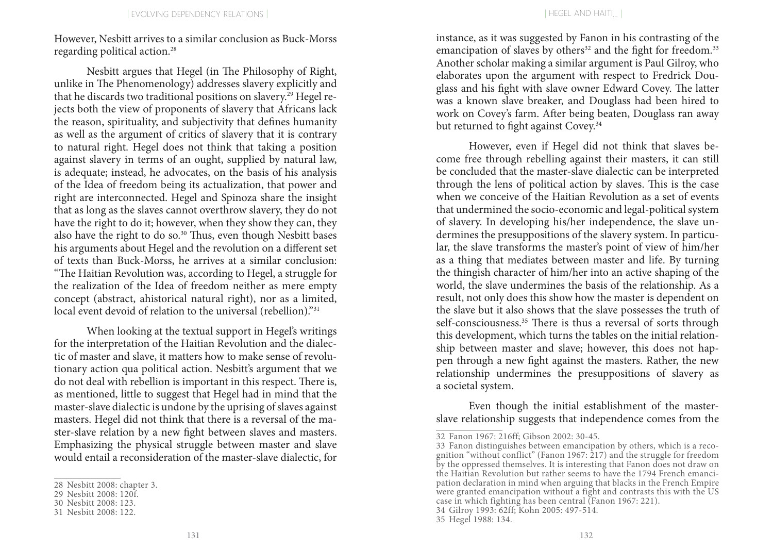However, Nesbitt arrives to a similar conclusion as Buck-Morss regarding political action.28

Nesbitt argues that Hegel (in The Philosophy of Right, unlike in The Phenomenology) addresses slavery explicitly and that he discards two traditional positions on slavery.<sup>29</sup> Hegel rejects both the view of proponents of slavery that Africans lack the reason, spirituality, and subjectivity that defines humanity as well as the argument of critics of slavery that it is contrary to natural right. Hegel does not think that taking a position against slavery in terms of an ought, supplied by natural law, is adequate; instead, he advocates, on the basis of his analysis of the Idea of freedom being its actualization, that power and right are interconnected. Hegel and Spinoza share the insight that as long as the slaves cannot overthrow slavery, they do not have the right to do it; however, when they show they can, they also have the right to do so.<sup>30</sup> Thus, even though Nesbitt bases his arguments about Hegel and the revolution on a different set of texts than Buck-Morss, he arrives at a similar conclusion: "The Haitian Revolution was, according to Hegel, a struggle for the realization of the Idea of freedom neither as mere empty concept (abstract, ahistorical natural right), nor as a limited, local event devoid of relation to the universal (rebellion)."<sup>31</sup>

When looking at the textual support in Hegel's writings for the interpretation of the Haitian Revolution and the dialectic of master and slave, it matters how to make sense of revolutionary action qua political action. Nesbitt's argument that we do not deal with rebellion is important in this respect. There is, as mentioned, little to suggest that Hegel had in mind that the master-slave dialectic is undone by the uprising of slaves against masters. Hegel did not think that there is a reversal of the master-slave relation by a new fight between slaves and masters. Emphasizing the physical struggle between master and slave would entail a reconsideration of the master-slave dialectic, for instance, as it was suggested by Fanon in his contrasting of the emancipation of slaves by others<sup>32</sup> and the fight for freedom.<sup>33</sup> Another scholar making a similar argument is Paul Gilroy, who elaborates upon the argument with respect to Fredrick Douglass and his fight with slave owner Edward Covey. The latter was a known slave breaker, and Douglass had been hired to work on Covey's farm. After being beaten, Douglass ran away but returned to fight against Covey.<sup>34</sup>

However, even if Hegel did not think that slaves become free through rebelling against their masters, it can still be concluded that the master-slave dialectic can be interpreted through the lens of political action by slaves. This is the case when we conceive of the Haitian Revolution as a set of events that undermined the socio-economic and legal-political system of slavery. In developing his/her independence, the slave undermines the presuppositions of the slavery system. In particular, the slave transforms the master's point of view of him/her as a thing that mediates between master and life. By turning the thingish character of him/her into an active shaping of the world, the slave undermines the basis of the relationship. As a result, not only does this show how the master is dependent on the slave but it also shows that the slave possesses the truth of self-consciousness.<sup>35</sup> There is thus a reversal of sorts through this development, which turns the tables on the initial relationship between master and slave; however, this does not happen through a new fight against the masters. Rather, the new relationship undermines the presuppositions of slavery as a societal system.

Even though the initial establishment of the masterslave relationship suggests that independence comes from the

<sup>28</sup> Nesbitt 2008: chapter 3.

<sup>29</sup> Nesbitt 2008: 120f.

<sup>30</sup> Nesbitt 2008: 123.

<sup>31</sup> Nesbitt 2008: 122.

<sup>32</sup> Fanon 1967: 216ff; Gibson 2002: 30-45.

<sup>33</sup> Fanon distinguishes between emancipation by others, which is a recognition "without conflict" (Fanon 1967: 217) and the struggle for freedom by the oppressed themselves. It is interesting that Fanon does not draw on the Haitian Revolution but rather seems to have the 1794 French emancipation declaration in mind when arguing that blacks in the French Empire were granted emancipation without a fight and contrasts this with the US case in which fighting has been central (Fanon 1967: 221).

<sup>34</sup> Gilroy 1993: 62ff; Kohn 2005: 497-514.

<sup>35</sup> Hegel 1988: 134.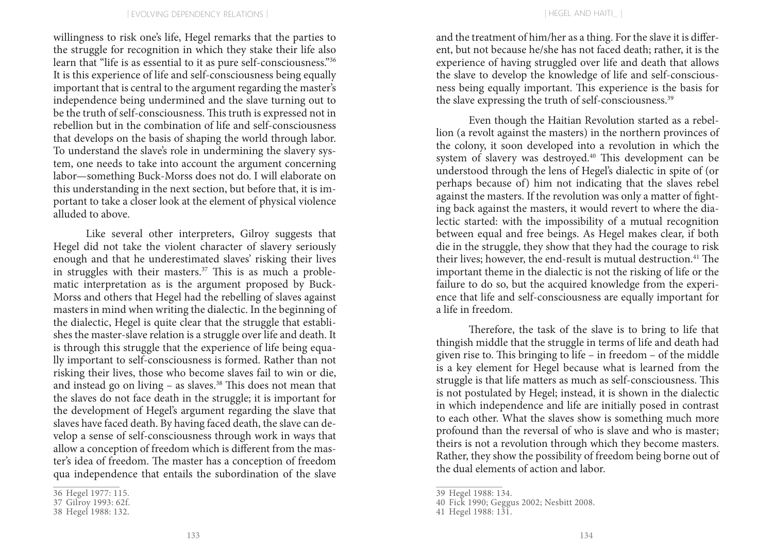willingness to risk one's life, Hegel remarks that the parties to the struggle for recognition in which they stake their life also learn that "life is as essential to it as pure self-consciousness."36 It is this experience of life and self-consciousness being equally important that is central to the argument regarding the master's independence being undermined and the slave turning out to be the truth of self-consciousness. This truth is expressed not in rebellion but in the combination of life and self-consciousness that develops on the basis of shaping the world through labor. To understand the slave's role in undermining the slavery system, one needs to take into account the argument concerning labor—something Buck-Morss does not do. I will elaborate on this understanding in the next section, but before that, it is important to take a closer look at the element of physical violence alluded to above.

Like several other interpreters, Gilroy suggests that Hegel did not take the violent character of slavery seriously enough and that he underestimated slaves' risking their lives in struggles with their masters.<sup>37</sup> This is as much a problematic interpretation as is the argument proposed by Buck-Morss and others that Hegel had the rebelling of slaves against masters in mind when writing the dialectic. In the beginning of the dialectic, Hegel is quite clear that the struggle that establishes the master-slave relation is a struggle over life and death. It is through this struggle that the experience of life being equally important to self-consciousness is formed. Rather than not risking their lives, those who become slaves fail to win or die, and instead go on living  $-$  as slaves.<sup>38</sup> This does not mean that the slaves do not face death in the struggle; it is important for the development of Hegel's argument regarding the slave that slaves have faced death. By having faced death, the slave can develop a sense of self-consciousness through work in ways that allow a conception of freedom which is different from the master's idea of freedom. The master has a conception of freedom qua independence that entails the subordination of the slave

and the treatment of him/her as a thing. For the slave it is different, but not because he/she has not faced death; rather, it is the experience of having struggled over life and death that allows the slave to develop the knowledge of life and self-consciousness being equally important. This experience is the basis for the slave expressing the truth of self-consciousness.<sup>39</sup>

Even though the Haitian Revolution started as a rebellion (a revolt against the masters) in the northern provinces of the colony, it soon developed into a revolution in which the system of slavery was destroyed.40 This development can be understood through the lens of Hegel's dialectic in spite of (or perhaps because of) him not indicating that the slaves rebel against the masters. If the revolution was only a matter of fighting back against the masters, it would revert to where the dialectic started: with the impossibility of a mutual recognition between equal and free beings. As Hegel makes clear, if both die in the struggle, they show that they had the courage to risk their lives; however, the end-result is mutual destruction.<sup>41</sup> The important theme in the dialectic is not the risking of life or the failure to do so, but the acquired knowledge from the experience that life and self-consciousness are equally important for a life in freedom.

Therefore, the task of the slave is to bring to life that thingish middle that the struggle in terms of life and death had given rise to. This bringing to life – in freedom – of the middle is a key element for Hegel because what is learned from the struggle is that life matters as much as self-consciousness. This is not postulated by Hegel; instead, it is shown in the dialectic in which independence and life are initially posed in contrast to each other. What the slaves show is something much more profound than the reversal of who is slave and who is master; theirs is not a revolution through which they become masters. Rather, they show the possibility of freedom being borne out of the dual elements of action and labor.

<sup>36</sup> Hegel 1977: 115.

<sup>37</sup> Gilroy 1993: 62f.

<sup>38</sup> Hegel 1988: 132.

<sup>39</sup> Hegel 1988: 134.

<sup>40</sup> Fick 1990; Geggus 2002; Nesbitt 2008.

<sup>41</sup> Hegel 1988: 131.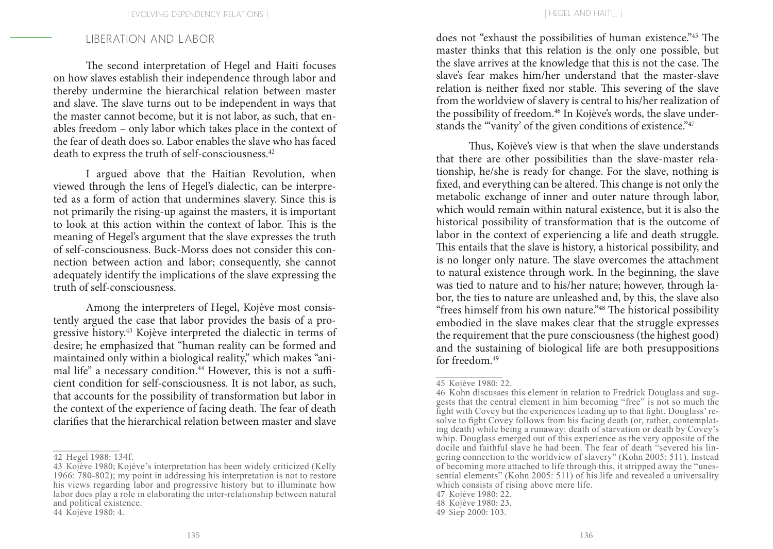## LIBERATION AND L ABOR

The second interpretation of Hegel and Haiti focuses on how slaves establish their independence through labor and thereby undermine the hierarchical relation between master and slave. The slave turns out to be independent in ways that the master cannot become, but it is not labor, as such, that enables freedom – only labor which takes place in the context of the fear of death does so. Labor enables the slave who has faced death to express the truth of self-consciousness.<sup>42</sup>

I argued above that the Haitian Revolution, when viewed through the lens of Hegel's dialectic, can be interpreted as a form of action that undermines slavery. Since this is not primarily the rising-up against the masters, it is important to look at this action within the context of labor. This is the meaning of Hegel's argument that the slave expresses the truth of self-consciousness. Buck-Morss does not consider this connection between action and labor; consequently, she cannot adequately identify the implications of the slave expressing the truth of self-consciousness.

Among the interpreters of Hegel, Kojève most consistently argued the case that labor provides the basis of a progressive history.43 Kojève interpreted the dialectic in terms of desire; he emphasized that "human reality can be formed and maintained only within a biological reality," which makes "animal life" a necessary condition.<sup>44</sup> However, this is not a sufficient condition for self-consciousness. It is not labor, as such, that accounts for the possibility of transformation but labor in the context of the experience of facing death. The fear of death clarifies that the hierarchical relation between master and slave does not "exhaust the possibilities of human existence."45 The master thinks that this relation is the only one possible, but the slave arrives at the knowledge that this is not the case. The slave's fear makes him/her understand that the master-slave relation is neither fixed nor stable. This severing of the slave from the worldview of slavery is central to his/her realization of the possibility of freedom.<sup>46</sup> In Kojève's words, the slave understands the "'vanity' of the given conditions of existence."<sup>47</sup>

Thus, Kojève's view is that when the slave understands that there are other possibilities than the slave-master relationship, he/she is ready for change. For the slave, nothing is fixed, and everything can be altered. This change is not only the metabolic exchange of inner and outer nature through labor, which would remain within natural existence, but it is also the historical possibility of transformation that is the outcome of labor in the context of experiencing a life and death struggle. This entails that the slave is history, a historical possibility, and is no longer only nature. The slave overcomes the attachment to natural existence through work. In the beginning, the slave was tied to nature and to his/her nature; however, through labor, the ties to nature are unleashed and, by this, the slave also "frees himself from his own nature."48 The historical possibility embodied in the slave makes clear that the struggle expresses the requirement that the pure consciousness (the highest good) and the sustaining of biological life are both presuppositions for freedom  $49$ 

<sup>42</sup> Hegel 1988: 134f.

<sup>43</sup> Kojève 1980; Kojève's interpretation has been widely criticized (Kelly 1966: 780-802); my point in addressing his interpretation is not to restore his views regarding labor and progressive history but to illuminate how labor does play a role in elaborating the inter-relationship between natural and political existence.

<sup>44</sup> Kojève 1980: 4.

<sup>45</sup> Kojève 1980: 22.

<sup>46</sup> Kohn discusses this element in relation to Fredrick Douglass and suggests that the central element in him becoming "free" is not so much the fight with Covey but the experiences leading up to that fight. Douglass' resolve to fight Covey follows from his facing death (or, rather, contemplating death) while being a runaway: death of starvation or death by Covey's whip. Douglass emerged out of this experience as the very opposite of the docile and faithful slave he had been. The fear of death "severed his lingering connection to the worldview of slavery" (Kohn 2005: 511). Instead of becoming more attached to life through this, it stripped away the "unessential elements" (Kohn 2005: 511) of his life and revealed a universality which consists of rising above mere life.

<sup>47</sup> Kojève 1980: 22.

<sup>48</sup> Kojève 1980: 23.

<sup>49</sup> Siep 2000: 103.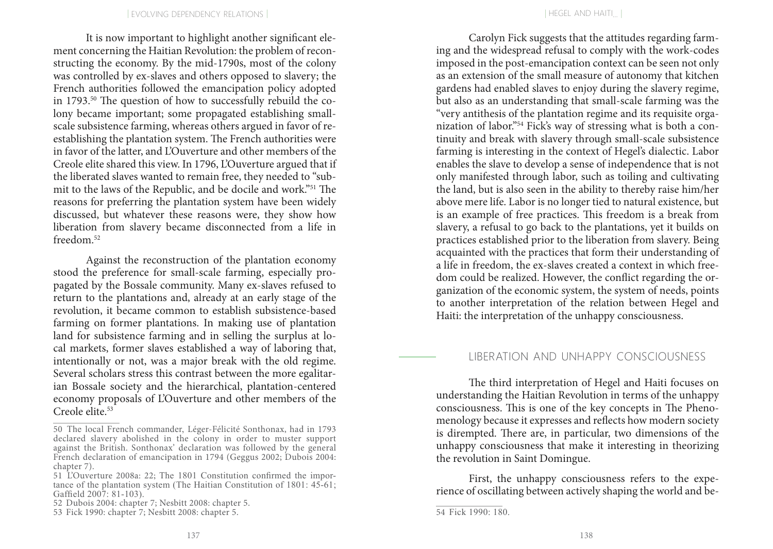It is now important to highlight another significant element concerning the Haitian Revolution: the problem of reconstructing the economy. By the mid-1790s, most of the colony was controlled by ex-slaves and others opposed to slavery; the French authorities followed the emancipation policy adopted in 1793.50 The question of how to successfully rebuild the colony became important; some propagated establishing smallscale subsistence farming, whereas others argued in favor of reestablishing the plantation system. The French authorities were in favor of the latter, and L'Ouverture and other members of the Creole elite shared this view. In 1796, L'Ouverture argued that if the liberated slaves wanted to remain free, they needed to "submit to the laws of the Republic, and be docile and work."51 The reasons for preferring the plantation system have been widely discussed, but whatever these reasons were, they show how liberation from slavery became disconnected from a life in freedom.52

Against the reconstruction of the plantation economy stood the preference for small-scale farming, especially propagated by the Bossale community. Many ex-slaves refused to return to the plantations and, already at an early stage of the revolution, it became common to establish subsistence-based farming on former plantations. In making use of plantation land for subsistence farming and in selling the surplus at local markets, former slaves established a way of laboring that, intentionally or not, was a major break with the old regime. Several scholars stress this contrast between the more egalitarian Bossale society and the hierarchical, plantation-centered economy proposals of L'Ouverture and other members of the Creole elite.<sup>53</sup>

52 Dubois 2004: chapter 7; Nesbitt 2008: chapter 5.

Carolyn Fick suggests that the attitudes regarding farming and the widespread refusal to comply with the work-codes imposed in the post-emancipation context can be seen not only as an extension of the small measure of autonomy that kitchen gardens had enabled slaves to enjoy during the slavery regime, but also as an understanding that small-scale farming was the "very antithesis of the plantation regime and its requisite organization of labor."54 Fick's way of stressing what is both a continuity and break with slavery through small-scale subsistence farming is interesting in the context of Hegel's dialectic. Labor enables the slave to develop a sense of independence that is not only manifested through labor, such as toiling and cultivating the land, but is also seen in the ability to thereby raise him/her above mere life. Labor is no longer tied to natural existence, but is an example of free practices. This freedom is a break from slavery, a refusal to go back to the plantations, yet it builds on practices established prior to the liberation from slavery. Being acquainted with the practices that form their understanding of a life in freedom, the ex-slaves created a context in which freedom could be realized. However, the conflict regarding the organization of the economic system, the system of needs, points to another interpretation of the relation between Hegel and Haiti: the interpretation of the unhappy consciousness.

#### LIBERATION AND UNHAPPY CONSCIOUSNESS

The third interpretation of Hegel and Haiti focuses on understanding the Haitian Revolution in terms of the unhappy consciousness. This is one of the key concepts in The Phenomenology because it expresses and reflects how modern society is dirempted. There are, in particular, two dimensions of the unhappy consciousness that make it interesting in theorizing the revolution in Saint Domingue.

First, the unhappy consciousness refers to the experience of oscillating between actively shaping the world and be-

<sup>50</sup> The local French commander, Léger-Félicité Sonthonax, had in 1793 declared slavery abolished in the colony in order to muster support against the British. Sonthonax' declaration was followed by the general French declaration of emancipation in 1794 (Geggus 2002; Dubois 2004: chapter 7).

<sup>51</sup> L'Ouverture 2008a: 22; The 1801 Constitution confirmed the importance of the plantation system (The Haitian Constitution of 1801: 45-61; Gaffield 2007: 81-103).

<sup>53</sup> Fick 1990: chapter 7; Nesbitt 2008: chapter 5.

<sup>54</sup> Fick 1990: 180.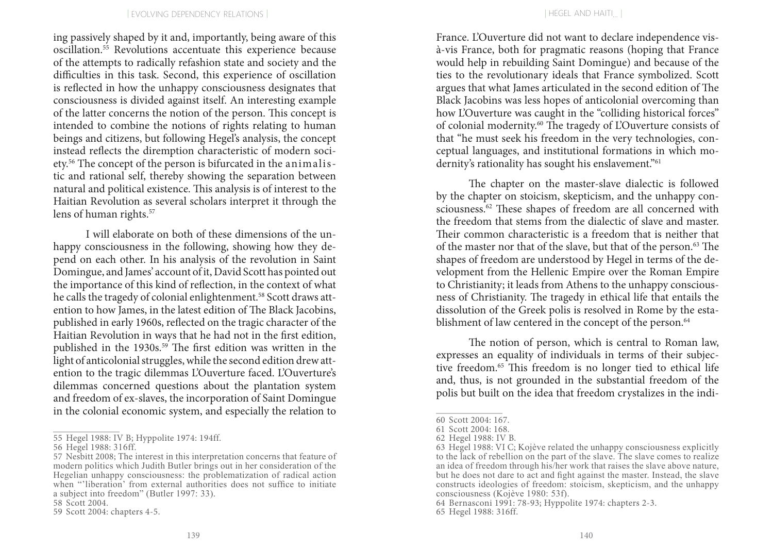ing passively shaped by it and, importantly, being aware of this oscillation.55 Revolutions accentuate this experience because of the attempts to radically refashion state and society and the difficulties in this task. Second, this experience of oscillation is reflected in how the unhappy consciousness designates that consciousness is divided against itself. An interesting example of the latter concerns the notion of the person. This concept is intended to combine the notions of rights relating to human beings and citizens, but following Hegel's analysis, the concept instead reflects the diremption characteristic of modern society.56 The concept of the person is bifurcated in the animalistic and rational self, thereby showing the separation between natural and political existence. This analysis is of interest to the Haitian Revolution as several scholars interpret it through the lens of human rights.<sup>57</sup>

I will elaborate on both of these dimensions of the unhappy consciousness in the following, showing how they depend on each other. In his analysis of the revolution in Saint Domingue, and James' account of it, David Scott has pointed out the importance of this kind of reflection, in the context of what he calls the tragedy of colonial enlightenment.<sup>58</sup> Scott draws attention to how James, in the latest edition of The Black Jacobins, published in early 1960s, reflected on the tragic character of the Haitian Revolution in ways that he had not in the first edition, published in the 1930s.<sup>59</sup> The first edition was written in the light of anticolonial struggles, while the second edition drew attention to the tragic dilemmas L'Ouverture faced. L'Ouverture's dilemmas concerned questions about the plantation system and freedom of ex-slaves, the incorporation of Saint Domingue in the colonial economic system, and especially the relation to

France. L'Ouverture did not want to declare independence visà-vis France, both for pragmatic reasons (hoping that France would help in rebuilding Saint Domingue) and because of the ties to the revolutionary ideals that France symbolized. Scott argues that what James articulated in the second edition of The Black Jacobins was less hopes of anticolonial overcoming than how L'Ouverture was caught in the "colliding historical forces" of colonial modernity.60 The tragedy of L'Ouverture consists of that "he must seek his freedom in the very technologies, conceptual languages, and institutional formations in which modernity's rationality has sought his enslavement."<sup>61</sup>

The chapter on the master-slave dialectic is followed by the chapter on stoicism, skepticism, and the unhappy consciousness.<sup>62</sup> These shapes of freedom are all concerned with the freedom that stems from the dialectic of slave and master. Their common characteristic is a freedom that is neither that of the master nor that of the slave, but that of the person.63 The shapes of freedom are understood by Hegel in terms of the development from the Hellenic Empire over the Roman Empire to Christianity; it leads from Athens to the unhappy consciousness of Christianity. The tragedy in ethical life that entails the dissolution of the Greek polis is resolved in Rome by the establishment of law centered in the concept of the person.<sup>64</sup>

The notion of person, which is central to Roman law, expresses an equality of individuals in terms of their subjective freedom.65 This freedom is no longer tied to ethical life and, thus, is not grounded in the substantial freedom of the polis but built on the idea that freedom crystalizes in the indi-

<sup>55</sup> Hegel 1988: IV B; Hyppolite 1974: 194ff.

<sup>56</sup> Hegel 1988: 316ff.

<sup>57</sup> Nesbitt 2008; The interest in this interpretation concerns that feature of modern politics which Judith Butler brings out in her consideration of the Hegelian unhappy consciousness: the problematization of radical action when "'liberation' from external authorities does not suffice to initiate a subject into freedom" (Butler 1997: 33).

<sup>58</sup> Scott 2004.

<sup>59</sup> Scott 2004: chapters 4-5.

<sup>60</sup> Scott 2004: 167.

<sup>61</sup> Scott 2004: 168.

<sup>62</sup> Hegel 1988: IV B.

<sup>63</sup> Hegel 1988: VI C; Kojève related the unhappy consciousness explicitly to the lack of rebellion on the part of the slave. The slave comes to realize an idea of freedom through his/her work that raises the slave above nature, but he does not dare to act and fight against the master. Instead, the slave constructs ideologies of freedom: stoicism, skepticism, and the unhappy consciousness (Kojève 1980: 53f).

<sup>64</sup> Bernasconi 1991: 78-93; Hyppolite 1974: chapters 2-3.

<sup>65</sup> Hegel 1988: 316ff.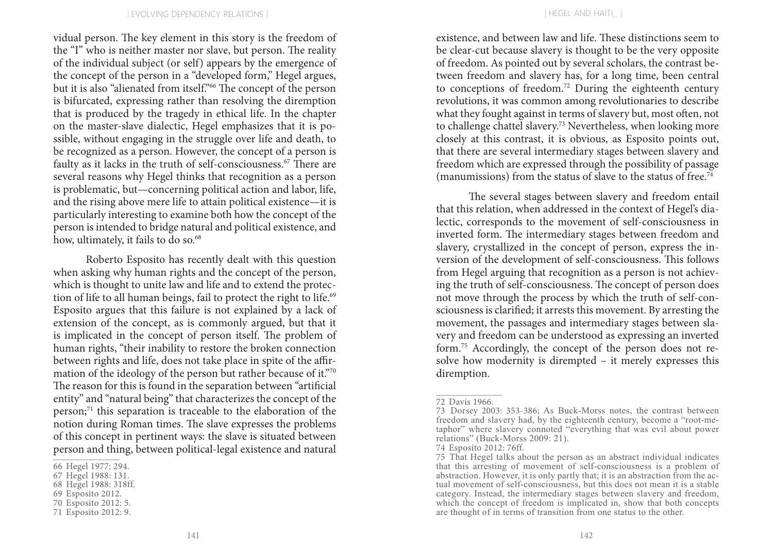vidual person. The key element in this story is the freedom of the "I" who is neither master nor slave, but person. The reality of the individual subject (or self) appears by the emergence of the concept of the person in a "developed form," Hegel argues, but it is also "alienated from itself."66 The concept of the person is bifurcated, expressing rather than resolving the diremption that is produced by the tragedy in ethical life. In the chapter on the master-slave dialectic, Hegel emphasizes that it is possible, without engaging in the struggle over life and death, to be recognized as a person. However, the concept of a person is faulty as it lacks in the truth of self-consciousness.<sup>67</sup> There are several reasons why Hegel thinks that recognition as a person is problematic, but—concerning political action and labor, life, and the rising above mere life to attain political existence—it is particularly interesting to examine both how the concept of the person is intended to bridge natural and political existence, and how, ultimately, it fails to do so.<sup>68</sup>

Roberto Esposito has recently dealt with this question when asking why human rights and the concept of the person, which is thought to unite law and life and to extend the protection of life to all human beings, fail to protect the right to life.<sup>69</sup> Esposito argues that this failure is not explained by a lack of extension of the concept, as is commonly argued, but that it is implicated in the concept of person itself. The problem of human rights, "their inability to restore the broken connection between rights and life, does not take place in spite of the affirmation of the ideology of the person but rather because of it."70 The reason for this is found in the separation between "artificial entity" and "natural being" that characterizes the concept of the person;<sup>71</sup> this separation is traceable to the elaboration of the notion during Roman times. The slave expresses the problems of this concept in pertinent ways: the slave is situated between person and thing, between political-legal existence and natural existence, and between law and life. These distinctions seem to be clear-cut because slavery is thought to be the very opposite of freedom. As pointed out by several scholars, the contrast between freedom and slavery has, for a long time, been central to conceptions of freedom.72 During the eighteenth century revolutions, it was common among revolutionaries to describe what they fought against in terms of slavery but, most often, not to challenge chattel slavery.73 Nevertheless, when looking more closely at this contrast, it is obvious, as Esposito points out, that there are several intermediary stages between slavery and freedom which are expressed through the possibility of passage (manumissions) from the status of slave to the status of free.<sup>74</sup>

The several stages between slavery and freedom entail that this relation, when addressed in the context of Hegel's dialectic, corresponds to the movement of self-consciousness in inverted form. The intermediary stages between freedom and slavery, crystallized in the concept of person, express the inversion of the development of self-consciousness. This follows from Hegel arguing that recognition as a person is not achieving the truth of self-consciousness. The concept of person does not move through the process by which the truth of self-consciousness is clarified; it arrests this movement. By arresting the movement, the passages and intermediary stages between slavery and freedom can be understood as expressing an inverted form.75 Accordingly, the concept of the person does not resolve how modernity is dirempted – it merely expresses this diremption.

<sup>66</sup> Hegel 1977: 294.

<sup>67</sup> Hegel 1988: 131.

<sup>68</sup> Hegel 1988: 318ff.

<sup>69</sup> Esposito 2012.

<sup>70</sup> Esposito 2012: 5.

<sup>71</sup> Esposito 2012: 9.

<sup>72</sup> Davis 1966.

<sup>73</sup> Dorsey 2003: 353-386; As Buck-Morss notes, the contrast between freedom and slavery had, by the eighteenth century, become a "root-metaphor" where slavery connoted "everything that was evil about power relations" (Buck-Morss 2009: 21).

<sup>74</sup> Esposito 2012: 76ff.

<sup>75</sup> That Hegel talks about the person as an abstract individual indicates that this arresting of movement of self-consciousness is a problem of abstraction. However, it is only partly that; it is an abstraction from the actual movement of self-consciousness, but this does not mean it is a stable category. Instead, the intermediary stages between slavery and freedom, which the concept of freedom is implicated in, show that both concepts are thought of in terms of transition from one status to the other.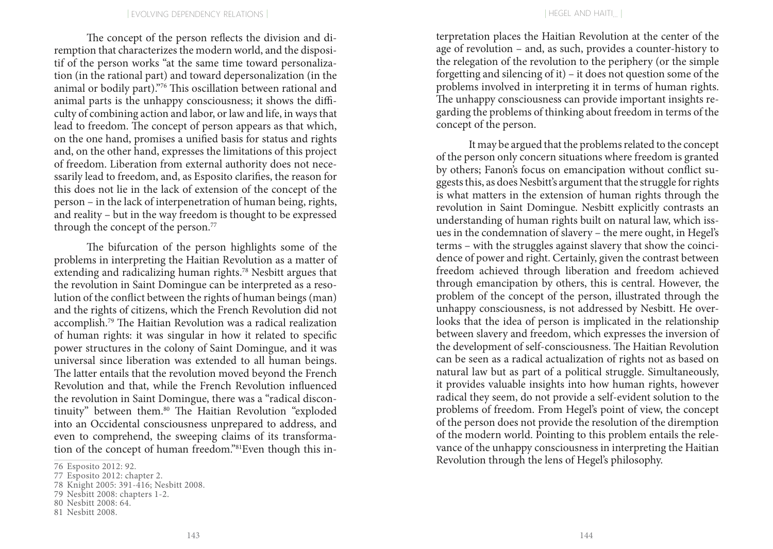The concept of the person reflects the division and diremption that characterizes the modern world, and the dispositif of the person works "at the same time toward personalization (in the rational part) and toward depersonalization (in the animal or bodily part)."76 This oscillation between rational and animal parts is the unhappy consciousness; it shows the difficulty of combining action and labor, or law and life, in ways that lead to freedom. The concept of person appears as that which, on the one hand, promises a unified basis for status and rights and, on the other hand, expresses the limitations of this project of freedom. Liberation from external authority does not necessarily lead to freedom, and, as Esposito clarifies, the reason for this does not lie in the lack of extension of the concept of the person – in the lack of interpenetration of human being, rights, and reality – but in the way freedom is thought to be expressed through the concept of the person.<sup>77</sup>

The bifurcation of the person highlights some of the problems in interpreting the Haitian Revolution as a matter of extending and radicalizing human rights.78 Nesbitt argues that the revolution in Saint Domingue can be interpreted as a resolution of the conflict between the rights of human beings (man) and the rights of citizens, which the French Revolution did not accomplish.79 The Haitian Revolution was a radical realization of human rights: it was singular in how it related to specific power structures in the colony of Saint Domingue, and it was universal since liberation was extended to all human beings. The latter entails that the revolution moved beyond the French Revolution and that, while the French Revolution influenced the revolution in Saint Domingue, there was a "radical discontinuity" between them.<sup>80</sup> The Haitian Revolution "exploded into an Occidental consciousness unprepared to address, and even to comprehend, the sweeping claims of its transformation of the concept of human freedom."81Even though this in-

- 80 Nesbitt 2008: 64.
- 81 Nesbitt 2008.

terpretation places the Haitian Revolution at the center of the age of revolution – and, as such, provides a counter-history to the relegation of the revolution to the periphery (or the simple forgetting and silencing of it) – it does not question some of the problems involved in interpreting it in terms of human rights. The unhappy consciousness can provide important insights regarding the problems of thinking about freedom in terms of the concept of the person.

It may be argued that the problems related to the concept of the person only concern situations where freedom is granted by others; Fanon's focus on emancipation without conflict suggests this, as does Nesbitt's argument that the struggle for rights is what matters in the extension of human rights through the revolution in Saint Domingue. Nesbitt explicitly contrasts an understanding of human rights built on natural law, which issues in the condemnation of slavery – the mere ought, in Hegel's terms – with the struggles against slavery that show the coincidence of power and right. Certainly, given the contrast between freedom achieved through liberation and freedom achieved through emancipation by others, this is central. However, the problem of the concept of the person, illustrated through the unhappy consciousness, is not addressed by Nesbitt. He overlooks that the idea of person is implicated in the relationship between slavery and freedom, which expresses the inversion of the development of self-consciousness. The Haitian Revolution can be seen as a radical actualization of rights not as based on natural law but as part of a political struggle. Simultaneously, it provides valuable insights into how human rights, however radical they seem, do not provide a self-evident solution to the problems of freedom. From Hegel's point of view, the concept of the person does not provide the resolution of the diremption of the modern world. Pointing to this problem entails the relevance of the unhappy consciousness in interpreting the Haitian Revolution through the lens of Hegel's philosophy.

<sup>76</sup> Esposito 2012: 92.

<sup>77</sup> Esposito 2012: chapter 2.

<sup>78</sup> Knight 2005: 391-416; Nesbitt 2008.

<sup>79</sup> Nesbitt 2008: chapters 1-2.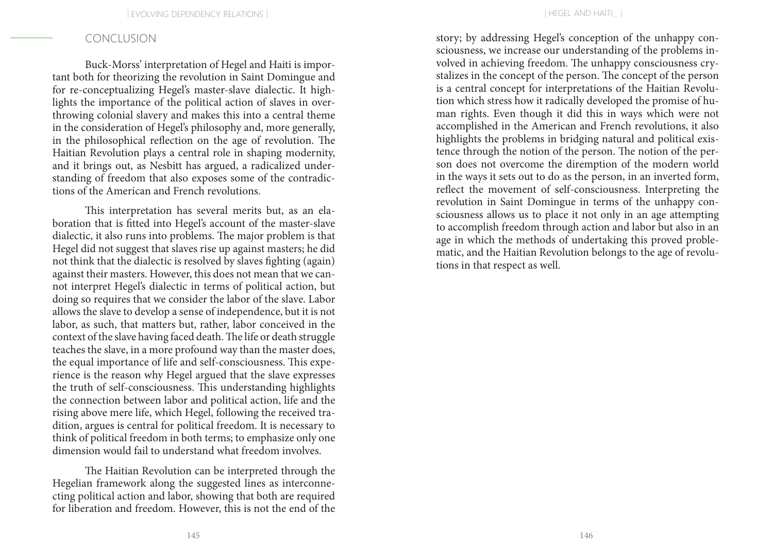## CONCLUSION

Buck-Morss' interpretation of Hegel and Haiti is important both for theorizing the revolution in Saint Domingue and for re-conceptualizing Hegel's master-slave dialectic. It highlights the importance of the political action of slaves in overthrowing colonial slavery and makes this into a central theme in the consideration of Hegel's philosophy and, more generally, in the philosophical reflection on the age of revolution. The Haitian Revolution plays a central role in shaping modernity, and it brings out, as Nesbitt has argued, a radicalized understanding of freedom that also exposes some of the contradictions of the American and French revolutions.

This interpretation has several merits but, as an elaboration that is fitted into Hegel's account of the master-slave dialectic, it also runs into problems. The major problem is that Hegel did not suggest that slaves rise up against masters; he did not think that the dialectic is resolved by slaves fighting (again) against their masters. However, this does not mean that we cannot interpret Hegel's dialectic in terms of political action, but doing so requires that we consider the labor of the slave. Labor allows the slave to develop a sense of independence, but it is not labor, as such, that matters but, rather, labor conceived in the context of the slave having faced death. The life or death struggle teaches the slave, in a more profound way than the master does, the equal importance of life and self-consciousness. This experience is the reason why Hegel argued that the slave expresses the truth of self-consciousness. This understanding highlights the connection between labor and political action, life and the rising above mere life, which Hegel, following the received tradition, argues is central for political freedom. It is necessary to think of political freedom in both terms; to emphasize only one dimension would fail to understand what freedom involves.

The Haitian Revolution can be interpreted through the Hegelian framework along the suggested lines as interconnecting political action and labor, showing that both are required for liberation and freedom. However, this is not the end of the

story; by addressing Hegel's conception of the unhappy consciousness, we increase our understanding of the problems involved in achieving freedom. The unhappy consciousness crystalizes in the concept of the person. The concept of the person is a central concept for interpretations of the Haitian Revolution which stress how it radically developed the promise of human rights. Even though it did this in ways which were not accomplished in the American and French revolutions, it also highlights the problems in bridging natural and political existence through the notion of the person. The notion of the person does not overcome the diremption of the modern world in the ways it sets out to do as the person, in an inverted form, reflect the movement of self-consciousness. Interpreting the revolution in Saint Domingue in terms of the unhappy consciousness allows us to place it not only in an age attempting to accomplish freedom through action and labor but also in an age in which the methods of undertaking this proved problematic, and the Haitian Revolution belongs to the age of revolutions in that respect as well.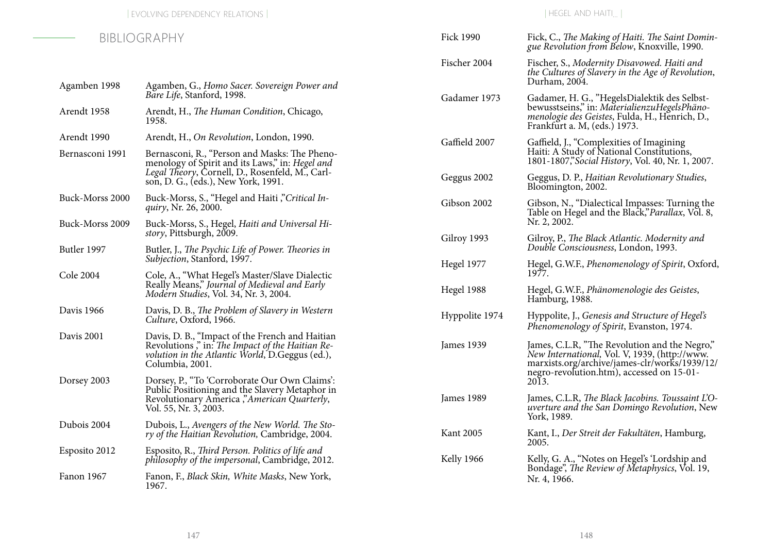| BIBLIOGRAPHY     |                                                                                                                                                                                            | <b>Fick 1990</b>  | Fick, C., The Making of Haiti. The Saint Domin-<br>gue Revolution from Below, Knoxville, 1990.                                                                                               |
|------------------|--------------------------------------------------------------------------------------------------------------------------------------------------------------------------------------------|-------------------|----------------------------------------------------------------------------------------------------------------------------------------------------------------------------------------------|
|                  |                                                                                                                                                                                            | Fischer 2004      | Fischer, S., Modernity Disavowed. Haiti and<br>the Cultures of Slavery in the Age of Revolution,<br>Durham, 2004.                                                                            |
| Agamben 1998     | Agamben, G., Homo Sacer. Sovereign Power and<br>Bare Life, Stanford, 1998.                                                                                                                 | Gadamer 1973      | Gadamer, H. G., "HegelsDialektik des Selbst-                                                                                                                                                 |
| Arendt 1958      | Arendt, H., The Human Condition, Chicago,<br>1958.                                                                                                                                         |                   | bewusstseins," in: MaterialienzuHegelsPhäno-<br>menologie des Geistes, Fulda, H., Henrich, D.,<br>Frankfurt a. M, (eds.) 1973.                                                               |
| Arendt 1990      | Arendt, H., On Revolution, London, 1990.                                                                                                                                                   | Gaffield 2007     | Gaffield, J., "Complexities of Imagining                                                                                                                                                     |
| Bernasconi 1991  | Bernasconi, R., "Person and Masks: The Pheno-<br>menology of Spirit and its Laws," in: Hegel and<br>Legal Theory, Cornell, D., Rosenfeld, M., Carl-<br>son, D. G., (eds.), New York, 1991. |                   | Haiti: A Study of National Constitutions,<br>1801-1807," Social History, Vol. 40, Nr. 1, 2007.                                                                                               |
|                  |                                                                                                                                                                                            | Geggus 2002       | Geggus, D. P., Haitian Revolutionary Studies,<br>Bloomington, 2002.                                                                                                                          |
| Buck-Morss 2000  | Buck-Morss, S., "Hegel and Haiti", Critical In-<br>quiry, Nr. 26, 2000.                                                                                                                    | Gibson 2002       | Gibson, N., "Dialectical Impasses: Turning the<br>Table on Hegel and the Black," Parallax, Vol. 8,                                                                                           |
| Buck-Morss 2009  | Buck-Morss, S., Hegel, Haiti and Universal Hi-<br><i>story</i> , Pittsburgh, 2009.                                                                                                         |                   | Nr. 2, 2002.                                                                                                                                                                                 |
| Butler 1997      | Butler, J., The Psychic Life of Power. Theories in                                                                                                                                         | Gilroy 1993       | Gilroy, P., The Black Atlantic. Modernity and<br>Double Consciousness, London, 1993.                                                                                                         |
|                  | Subjection, Stanford, 1997.                                                                                                                                                                | <b>Hegel 1977</b> | Hegel, G.W.F., Phenomenology of Spirit, Oxford,<br>1977.                                                                                                                                     |
| <b>Cole 2004</b> | Cole, A., "What Hegel's Master/Slave Dialectic<br>Really Means," Journal of Medieval and Early<br>Modern Studies, Vol. 34, Nr. 3, 2004.                                                    | Hegel 1988        | Hegel, G.W.F., Phänomenologie des Geistes,<br>Hamburg, 1988.                                                                                                                                 |
| Davis 1966       | Davis, D. B., The Problem of Slavery in Western<br>Culture, Oxford, 1966.                                                                                                                  | Hyppolite 1974    | Hyppolite, J., Genesis and Structure of Hegel's<br>Phenomenology of Spirit, Evanston, 1974.                                                                                                  |
| Davis 2001       | Davis, D. B., "Impact of the French and Haitian<br>Revolutions," in: The Impact of the Haitian Re-<br>volution in the Atlantic World, D.Geggus (ed.),<br>Columbia, 2001.                   | James 1939        | James, C.L.R, "The Revolution and the Negro,"<br>New International, Vol. V, 1939, (http://www.<br>marxists.org/archive/james-clr/works/1939/12/<br>negro-revolution.htm), accessed on 15-01- |
| Dorsey 2003      | Dorsey, P., "To 'Corroborate Our Own Claims':<br>Public Positioning and the Slavery Metaphor in<br>Revolutionary America," American Quarterly,<br>Vol. 55, Nr. 3, 2003.                    |                   | 2013.                                                                                                                                                                                        |
|                  |                                                                                                                                                                                            | James 1989        | James, C.L.R, The Black Jacobins. Toussaint L'O-<br><i>uverture and the San Domingo Revolution, New</i><br>York, 1989.                                                                       |
| Dubois 2004      | Dubois, L., Avengers of the New World. The Sto-<br>ry of the Haitian Revolution, Cambridge, 2004.                                                                                          | <b>Kant 2005</b>  | Kant, I., Der Streit der Fakultäten, Hamburg,<br>2005.                                                                                                                                       |
| Esposito 2012    | Esposito, R., Third Person. Politics of life and<br>philosophy of the impersonal, Cambridge, 2012.                                                                                         | <b>Kelly 1966</b> | Kelly, G. A., "Notes on Hegel's 'Lordship and                                                                                                                                                |
| Fanon 1967       | Fanon, F., Black Skin, White Masks, New York,<br>1967.                                                                                                                                     |                   | Bondage", The Review of Metaphysics, Vol. 19,<br>Nr. 4, 1966.                                                                                                                                |